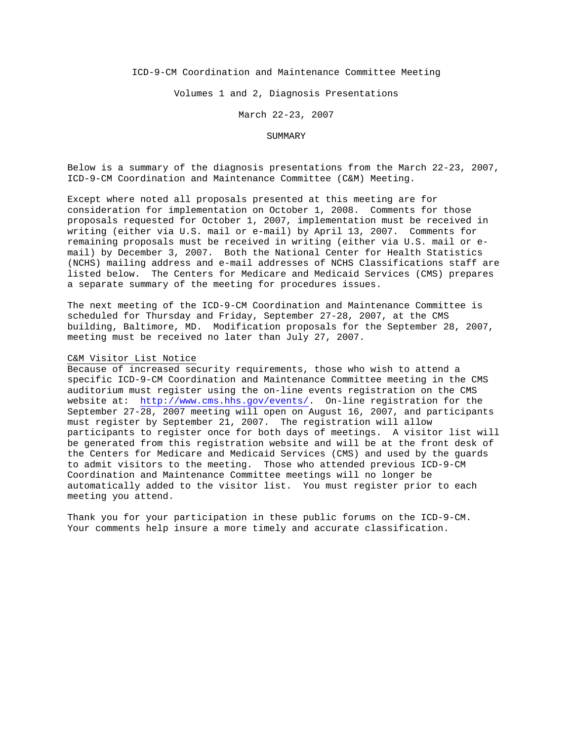### ICD-9-CM Coordination and Maintenance Committee Meeting

Volumes 1 and 2, Diagnosis Presentations

March 22-23, 2007

#### SUMMARY

Below is a summary of the diagnosis presentations from the March 22-23, 2007, ICD-9-CM Coordination and Maintenance Committee (C&M) Meeting.

Except where noted all proposals presented at this meeting are for consideration for implementation on October 1, 2008. Comments for those proposals requested for October 1, 2007, implementation must be received in writing (either via U.S. mail or e-mail) by April 13, 2007. Comments for remaining proposals must be received in writing (either via U.S. mail or email) by December 3, 2007. Both the National Center for Health Statistics (NCHS) mailing address and e-mail addresses of NCHS Classifications staff are listed below. The Centers for Medicare and Medicaid Services (CMS) prepares a separate summary of the meeting for procedures issues.

The next meeting of the ICD-9-CM Coordination and Maintenance Committee is scheduled for Thursday and Friday, September 27-28, 2007, at the CMS building, Baltimore, MD. Modification proposals for the September 28, 2007, meeting must be received no later than July 27, 2007.

### C&M Visitor List Notice

Because of increased security requirements, those who wish to attend a specific ICD-9-CM Coordination and Maintenance Committee meeting in the CMS auditorium must register using the on-line events registration on the CMS website at: <http://www.cms.hhs.gov/events/>. On-line registration for the September 27-28, 2007 meeting will open on August 16, 2007, and participants must register by September 21, 2007. The registration will allow participants to register once for both days of meetings. A visitor list will be generated from this registration website and will be at the front desk of the Centers for Medicare and Medicaid Services (CMS) and used by the guards to admit visitors to the meeting. Those who attended previous ICD-9-CM Coordination and Maintenance Committee meetings will no longer be automatically added to the visitor list. You must register prior to each meeting you attend.

Thank you for your participation in these public forums on the ICD-9-CM. Your comments help insure a more timely and accurate classification.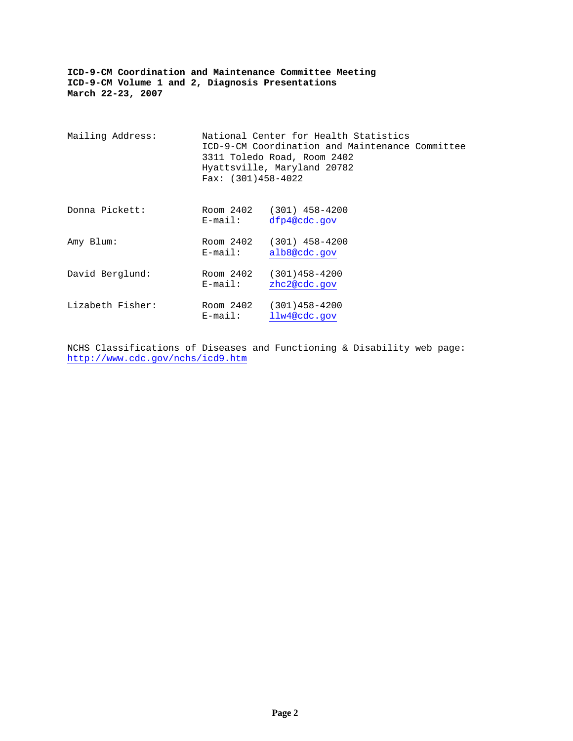| Mailing Address: | Fax: $(301)458-4022$    | National Center for Health Statistics<br>ICD-9-CM Coordination and Maintenance Committee<br>3311 Toledo Road, Room 2402<br>Hyattsville, Maryland 20782 |  |
|------------------|-------------------------|--------------------------------------------------------------------------------------------------------------------------------------------------------|--|
| Donna Pickett:   | E-mail:                 | Room 2402 (301) 458-4200<br>dfp4@cdc.gov                                                                                                               |  |
| Amy Blum:        | Room 2402<br>E-mail:    | $(301)$ 458-4200<br>alb8@cdc.gov                                                                                                                       |  |
| David Berglund:  | Room 2402<br>$E$ -mail: | $(301)458 - 4200$<br>zhc2@cdc.gov                                                                                                                      |  |
| Lizabeth Fisher: | Room 2402<br>$E$ -mail: | $(301)458 - 4200$<br>llw4@cdc.gov                                                                                                                      |  |

NCHS Classifications of Diseases and Functioning & Disability web page: <http://www.cdc.gov/nchs/icd9.htm>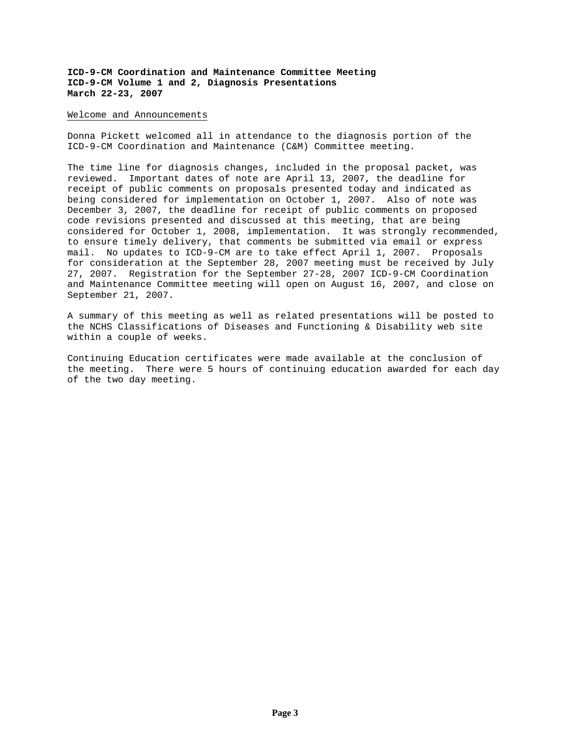#### Welcome and Announcements

Donna Pickett welcomed all in attendance to the diagnosis portion of the ICD-9-CM Coordination and Maintenance (C&M) Committee meeting.

The time line for diagnosis changes, included in the proposal packet, was reviewed. Important dates of note are April 13, 2007, the deadline for receipt of public comments on proposals presented today and indicated as being considered for implementation on October 1, 2007. Also of note was December 3, 2007, the deadline for receipt of public comments on proposed code revisions presented and discussed at this meeting, that are being considered for October 1, 2008, implementation. It was strongly recommended, to ensure timely delivery, that comments be submitted via email or express mail. No updates to ICD-9-CM are to take effect April 1, 2007. Proposals for consideration at the September 28, 2007 meeting must be received by July 27, 2007. Registration for the September 27-28, 2007 ICD-9-CM Coordination and Maintenance Committee meeting will open on August 16, 2007, and close on September 21, 2007.

A summary of this meeting as well as related presentations will be posted to the NCHS Classifications of Diseases and Functioning & Disability web site within a couple of weeks.

Continuing Education certificates were made available at the conclusion of the meeting. There were 5 hours of continuing education awarded for each day of the two day meeting.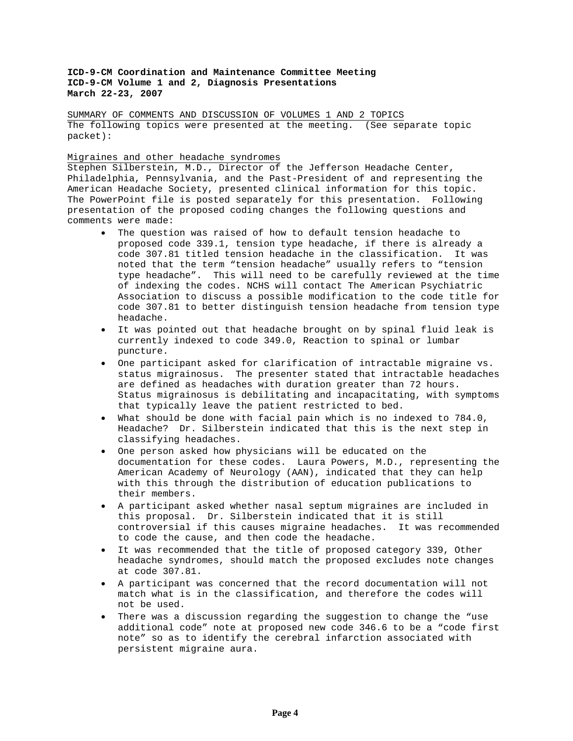SUMMARY OF COMMENTS AND DISCUSSION OF VOLUMES 1 AND 2 TOPICS The following topics were presented at the meeting. (See separate topic packet):

# Migraines and other headache syndromes

Stephen Silberstein, M.D., Director of the Jefferson Headache Center, Philadelphia, Pennsylvania, and the Past-President of and representing the American Headache Society, presented clinical information for this topic. The PowerPoint file is posted separately for this presentation. Following presentation of the proposed coding changes the following questions and comments were made:

- The question was raised of how to default tension headache to proposed code 339.1, tension type headache, if there is already a code 307.81 titled tension headache in the classification. It was noted that the term "tension headache" usually refers to "tension type headache". This will need to be carefully reviewed at the time of indexing the codes. NCHS will contact The American Psychiatric Association to discuss a possible modification to the code title for code 307.81 to better distinguish tension headache from tension type headache.
- It was pointed out that headache brought on by spinal fluid leak is currently indexed to code 349.0, Reaction to spinal or lumbar puncture.
- One participant asked for clarification of intractable migraine vs. status migrainosus. The presenter stated that intractable headaches are defined as headaches with duration greater than 72 hours. Status migrainosus is debilitating and incapacitating, with symptoms that typically leave the patient restricted to bed.
- What should be done with facial pain which is no indexed to 784.0, Headache? Dr. Silberstein indicated that this is the next step in classifying headaches.
- One person asked how physicians will be educated on the documentation for these codes. Laura Powers, M.D., representing the American Academy of Neurology (AAN), indicated that they can help with this through the distribution of education publications to their members.
- A participant asked whether nasal septum migraines are included in this proposal. Dr. Silberstein indicated that it is still controversial if this causes migraine headaches. It was recommended to code the cause, and then code the headache.
- It was recommended that the title of proposed category 339, Other headache syndromes, should match the proposed excludes note changes at code 307.81.
- A participant was concerned that the record documentation will not match what is in the classification, and therefore the codes will not be used.
- There was a discussion regarding the suggestion to change the "use additional code" note at proposed new code 346.6 to be a "code first note" so as to identify the cerebral infarction associated with persistent migraine aura.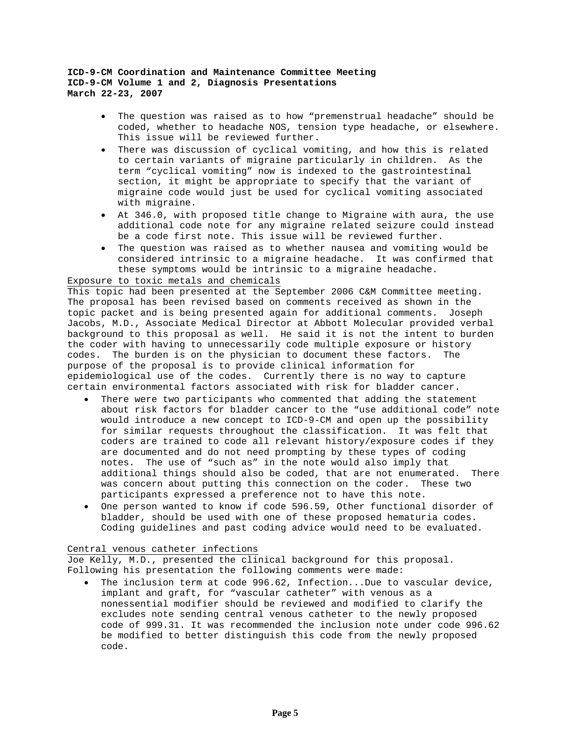- The question was raised as to how "premenstrual headache" should be coded, whether to headache NOS, tension type headache, or elsewhere. This issue will be reviewed further.
- There was discussion of cyclical vomiting, and how this is related to certain variants of migraine particularly in children. As the term "cyclical vomiting" now is indexed to the gastrointestinal section, it might be appropriate to specify that the variant of migraine code would just be used for cyclical vomiting associated with migraine.
- At 346.0, with proposed title change to Migraine with aura, the use additional code note for any migraine related seizure could instead be a code first note. This issue will be reviewed further.
- The question was raised as to whether nausea and vomiting would be considered intrinsic to a migraine headache. It was confirmed that these symptoms would be intrinsic to a migraine headache.

### Exposure to toxic metals and chemicals

This topic had been presented at the September 2006 C&M Committee meeting. The proposal has been revised based on comments received as shown in the topic packet and is being presented again for additional comments. Joseph Jacobs, M.D., Associate Medical Director at Abbott Molecular provided verbal background to this proposal as well. He said it is not the intent to burden the coder with having to unnecessarily code multiple exposure or history codes. The burden is on the physician to document these factors. The purpose of the proposal is to provide clinical information for epidemiological use of the codes. Currently there is no way to capture certain environmental factors associated with risk for bladder cancer.

- There were two participants who commented that adding the statement about risk factors for bladder cancer to the "use additional code" note would introduce a new concept to ICD-9-CM and open up the possibility for similar requests throughout the classification. It was felt that coders are trained to code all relevant history/exposure codes if they are documented and do not need prompting by these types of coding notes. The use of "such as" in the note would also imply that additional things should also be coded, that are not enumerated. There was concern about putting this connection on the coder. These two participants expressed a preference not to have this note.
- One person wanted to know if code 596.59, Other functional disorder of bladder, should be used with one of these proposed hematuria codes. Coding guidelines and past coding advice would need to be evaluated.

### Central venous catheter infections

Joe Kelly, M.D., presented the clinical background for this proposal. Following his presentation the following comments were made:

The inclusion term at code 996.62, Infection...Due to vascular device, implant and graft, for "vascular catheter" with venous as a nonessential modifier should be reviewed and modified to clarify the excludes note sending central venous catheter to the newly proposed code of 999.31. It was recommended the inclusion note under code 996.62 be modified to better distinguish this code from the newly proposed code.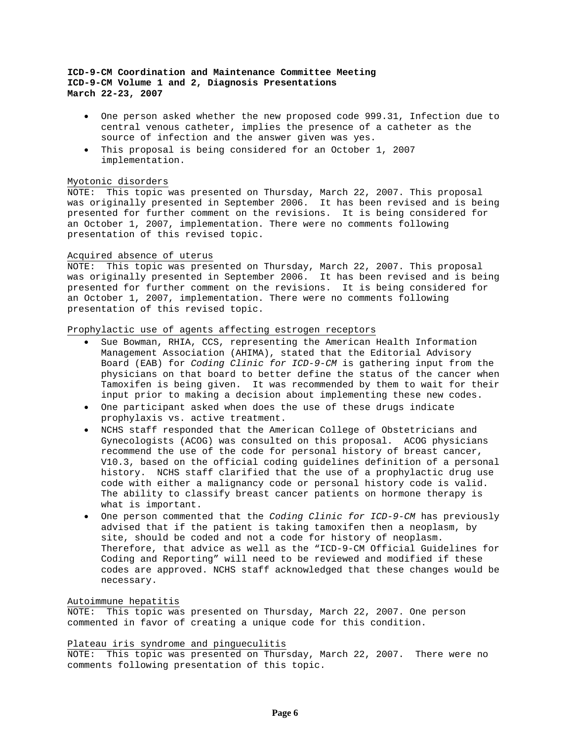- One person asked whether the new proposed code 999.31, Infection due to central venous catheter, implies the presence of a catheter as the source of infection and the answer given was yes.
- This proposal is being considered for an October 1, 2007 implementation.

#### Myotonic disorders

NOTE: This topic was presented on Thursday, March 22, 2007. This proposal was originally presented in September 2006. It has been revised and is being presented for further comment on the revisions. It is being considered for an October 1, 2007, implementation. There were no comments following presentation of this revised topic.

#### Acquired absence of uterus

NOTE: This topic was presented on Thursday, March 22, 2007. This proposal was originally presented in September 2006. It has been revised and is being presented for further comment on the revisions. It is being considered for an October 1, 2007, implementation. There were no comments following presentation of this revised topic.

# Prophylactic use of agents affecting estrogen receptors

- Sue Bowman, RHIA, CCS, representing the American Health Information Management Association (AHIMA), stated that the Editorial Advisory Board (EAB) for *Coding Clinic for ICD-9-CM* is gathering input from the physicians on that board to better define the status of the cancer when Tamoxifen is being given. It was recommended by them to wait for their input prior to making a decision about implementing these new codes.
- One participant asked when does the use of these drugs indicate prophylaxis vs. active treatment.
- NCHS staff responded that the American College of Obstetricians and Gynecologists (ACOG) was consulted on this proposal. ACOG physicians recommend the use of the code for personal history of breast cancer, V10.3, based on the official coding guidelines definition of a personal history. NCHS staff clarified that the use of a prophylactic drug use code with either a malignancy code or personal history code is valid. The ability to classify breast cancer patients on hormone therapy is what is important.
- One person commented that the *Coding Clinic for ICD-9-CM* has previously advised that if the patient is taking tamoxifen then a neoplasm, by site, should be coded and not a code for history of neoplasm. Therefore, that advice as well as the "ICD-9-CM Official Guidelines for Coding and Reporting" will need to be reviewed and modified if these codes are approved. NCHS staff acknowledged that these changes would be necessary.

### Autoimmune hepatitis

NOTE: This topic was presented on Thursday, March 22, 2007. One person commented in favor of creating a unique code for this condition.

#### Plateau iris syndrome and pingueculitis

NOTE: This topic was presented on Thursday, March 22, 2007. There were no comments following presentation of this topic.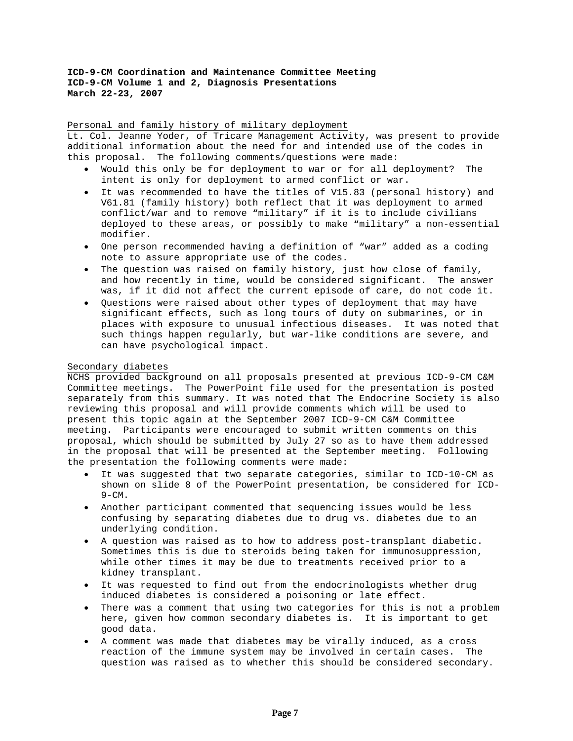Personal and family history of military deployment Lt. Col. Jeanne Yoder, of Tricare Management Activity, was present to provide additional information about the need for and intended use of the codes in this proposal. The following comments/questions were made:

- Would this only be for deployment to war or for all deployment? The intent is only for deployment to armed conflict or war.
- It was recommended to have the titles of V15.83 (personal history) and V61.81 (family history) both reflect that it was deployment to armed conflict/war and to remove "military" if it is to include civilians deployed to these areas, or possibly to make "military" a non-essential modifier.
- One person recommended having a definition of "war" added as a coding note to assure appropriate use of the codes.
- The question was raised on family history, just how close of family, and how recently in time, would be considered significant. The answer was, if it did not affect the current episode of care, do not code it.
- Questions were raised about other types of deployment that may have significant effects, such as long tours of duty on submarines, or in places with exposure to unusual infectious diseases. It was noted that such things happen regularly, but war-like conditions are severe, and can have psychological impact.

### Secondary diabetes

NCHS provided background on all proposals presented at previous ICD-9-CM C&M Committee meetings. The PowerPoint file used for the presentation is posted separately from this summary. It was noted that The Endocrine Society is also reviewing this proposal and will provide comments which will be used to present this topic again at the September 2007 ICD-9-CM C&M Committee meeting. Participants were encouraged to submit written comments on this proposal, which should be submitted by July 27 so as to have them addressed in the proposal that will be presented at the September meeting. Following the presentation the following comments were made:

- It was suggested that two separate categories, similar to ICD-10-CM as shown on slide 8 of the PowerPoint presentation, be considered for ICD- $9 - CM$ .
- Another participant commented that sequencing issues would be less confusing by separating diabetes due to drug vs. diabetes due to an underlying condition.
- A question was raised as to how to address post-transplant diabetic. Sometimes this is due to steroids being taken for immunosuppression, while other times it may be due to treatments received prior to a kidney transplant.
- It was requested to find out from the endocrinologists whether drug induced diabetes is considered a poisoning or late effect.
- There was a comment that using two categories for this is not a problem here, given how common secondary diabetes is. It is important to get good data.
- A comment was made that diabetes may be virally induced, as a cross reaction of the immune system may be involved in certain cases. The question was raised as to whether this should be considered secondary.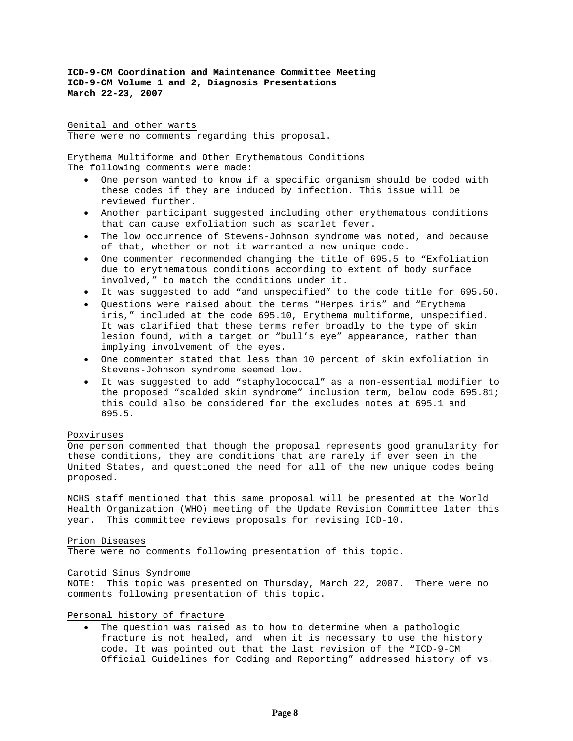Genital and other warts There were no comments regarding this proposal.

Erythema Multiforme and Other Erythematous Conditions

The following comments were made:

- One person wanted to know if a specific organism should be coded with these codes if they are induced by infection. This issue will be reviewed further.
- Another participant suggested including other erythematous conditions that can cause exfoliation such as scarlet fever.
- The low occurrence of Stevens-Johnson syndrome was noted, and because of that, whether or not it warranted a new unique code.
- One commenter recommended changing the title of 695.5 to "Exfoliation due to erythematous conditions according to extent of body surface involved," to match the conditions under it.
- It was suggested to add "and unspecified" to the code title for 695.50.
- Questions were raised about the terms "Herpes iris" and "Erythema iris," included at the code 695.10, Erythema multiforme, unspecified. It was clarified that these terms refer broadly to the type of skin lesion found, with a target or "bull's eye" appearance, rather than implying involvement of the eyes.
- One commenter stated that less than 10 percent of skin exfoliation in Stevens-Johnson syndrome seemed low.
- It was suggested to add "staphylococcal" as a non-essential modifier to the proposed "scalded skin syndrome" inclusion term, below code 695.81; this could also be considered for the excludes notes at 695.1 and 695.5.

### Poxviruses

One person commented that though the proposal represents good granularity for these conditions, they are conditions that are rarely if ever seen in the United States, and questioned the need for all of the new unique codes being proposed.

NCHS staff mentioned that this same proposal will be presented at the World Health Organization (WHO) meeting of the Update Revision Committee later this year. This committee reviews proposals for revising ICD-10.

### Prion Diseases

There were no comments following presentation of this topic.

### Carotid Sinus Syndrome

NOTE: This topic was presented on Thursday, March 22, 2007. There were no comments following presentation of this topic.

Personal history of fracture

The question was raised as to how to determine when a pathologic fracture is not healed, and when it is necessary to use the history code. It was pointed out that the last revision of the "ICD-9-CM Official Guidelines for Coding and Reporting" addressed history of vs.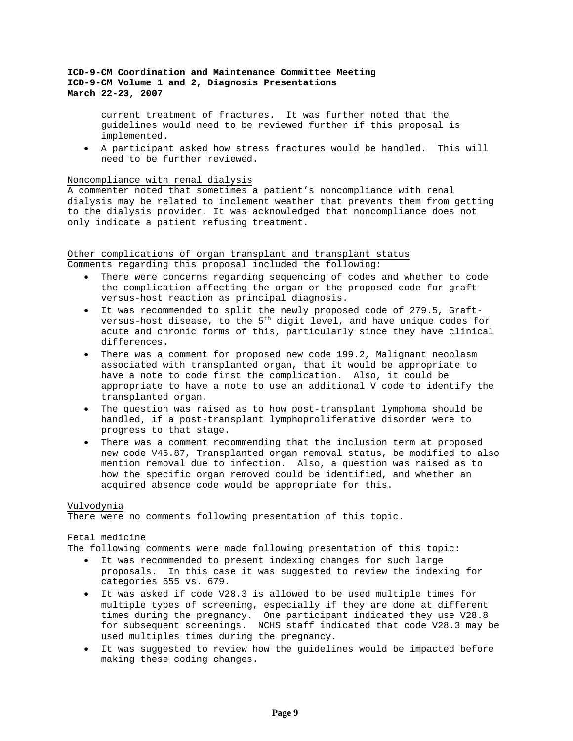current treatment of fractures. It was further noted that the guidelines would need to be reviewed further if this proposal is implemented.

• A participant asked how stress fractures would be handled. This will need to be further reviewed.

#### Noncompliance with renal dialysis

A commenter noted that sometimes a patient's noncompliance with renal dialysis may be related to inclement weather that prevents them from getting to the dialysis provider. It was acknowledged that noncompliance does not only indicate a patient refusing treatment.

### Other complications of organ transplant and transplant status Comments regarding this proposal included the following:

- There were concerns regarding sequencing of codes and whether to code the complication affecting the organ or the proposed code for graftversus-host reaction as principal diagnosis.
- It was recommended to split the newly proposed code of 279.5, Graftversus-host disease, to the  $5^{\text{th}}$  digit level, and have unique codes for acute and chronic forms of this, particularly since they have clinical differences.
- There was a comment for proposed new code 199.2, Malignant neoplasm associated with transplanted organ, that it would be appropriate to have a note to code first the complication. Also, it could be appropriate to have a note to use an additional V code to identify the transplanted organ.
- The question was raised as to how post-transplant lymphoma should be handled, if a post-transplant lymphoproliferative disorder were to progress to that stage.
- There was a comment recommending that the inclusion term at proposed new code V45.87, Transplanted organ removal status, be modified to also mention removal due to infection. Also, a question was raised as to how the specific organ removed could be identified, and whether an acquired absence code would be appropriate for this.

### Vulvodynia

There were no comments following presentation of this topic.

### Fetal medicine

The following comments were made following presentation of this topic:

- It was recommended to present indexing changes for such large proposals. In this case it was suggested to review the indexing for categories 655 vs. 679.
- It was asked if code V28.3 is allowed to be used multiple times for multiple types of screening, especially if they are done at different times during the pregnancy. One participant indicated they use V28.8 for subsequent screenings. NCHS staff indicated that code V28.3 may be used multiples times during the pregnancy.
- It was suggested to review how the guidelines would be impacted before making these coding changes.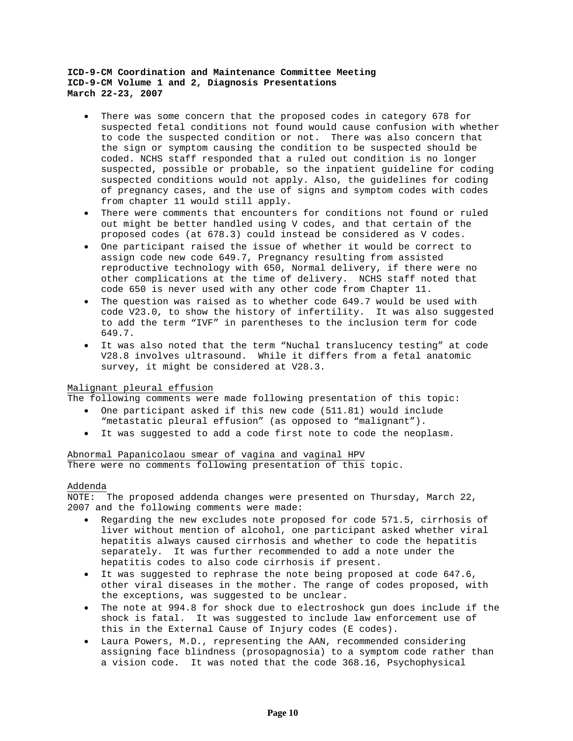- There was some concern that the proposed codes in category 678 for suspected fetal conditions not found would cause confusion with whether to code the suspected condition or not. There was also concern that the sign or symptom causing the condition to be suspected should be coded. NCHS staff responded that a ruled out condition is no longer suspected, possible or probable, so the inpatient guideline for coding suspected conditions would not apply. Also, the guidelines for coding of pregnancy cases, and the use of signs and symptom codes with codes from chapter 11 would still apply.
- There were comments that encounters for conditions not found or ruled out might be better handled using V codes, and that certain of the proposed codes (at 678.3) could instead be considered as V codes.
- One participant raised the issue of whether it would be correct to assign code new code 649.7, Pregnancy resulting from assisted reproductive technology with 650, Normal delivery, if there were no other complications at the time of delivery. NCHS staff noted that code 650 is never used with any other code from Chapter 11.
- The question was raised as to whether code 649.7 would be used with code V23.0, to show the history of infertility. It was also suggested to add the term "IVF" in parentheses to the inclusion term for code 649.7.
- It was also noted that the term "Nuchal translucency testing" at code V28.8 involves ultrasound. While it differs from a fetal anatomic survey, it might be considered at V28.3.

## Malignant pleural effusion

The following comments were made following presentation of this topic:

- One participant asked if this new code (511.81) would include "metastatic pleural effusion" (as opposed to "malignant").
- It was suggested to add a code first note to code the neoplasm.

### Abnormal Papanicolaou smear of vagina and vaginal HPV

There were no comments following presentation of this topic.

### Addenda

NOTE: The proposed addenda changes were presented on Thursday, March 22, 2007 and the following comments were made:

- Regarding the new excludes note proposed for code 571.5, cirrhosis of liver without mention of alcohol, one participant asked whether viral hepatitis always caused cirrhosis and whether to code the hepatitis separately. It was further recommended to add a note under the hepatitis codes to also code cirrhosis if present.
- It was suggested to rephrase the note being proposed at code 647.6, other viral diseases in the mother. The range of codes proposed, with the exceptions, was suggested to be unclear.
- The note at 994.8 for shock due to electroshock gun does include if the shock is fatal. It was suggested to include law enforcement use of this in the External Cause of Injury codes (E codes).
- Laura Powers, M.D., representing the AAN, recommended considering assigning face blindness (prosopagnosia) to a symptom code rather than a vision code. It was noted that the code 368.16, Psychophysical